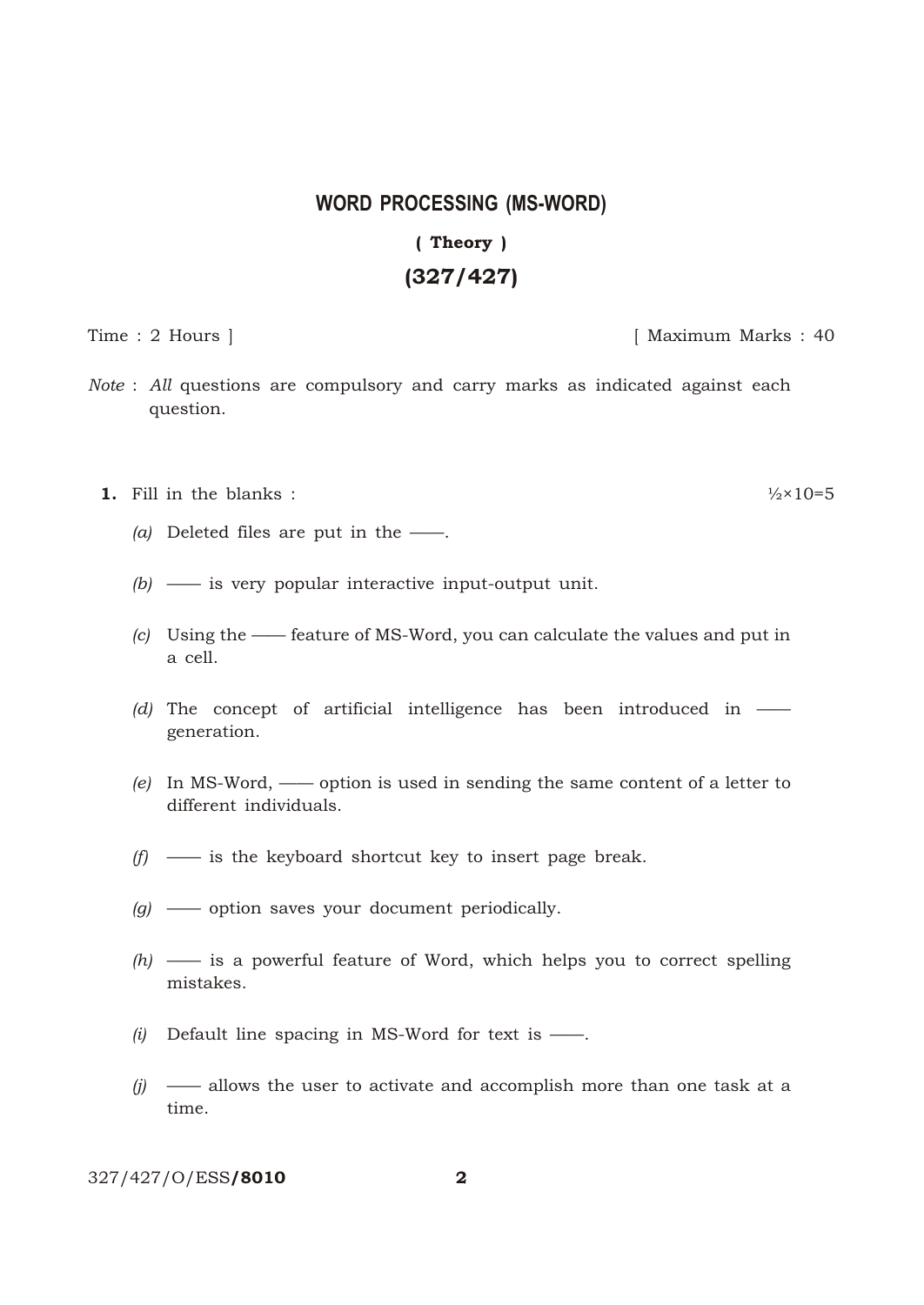## **WORD PROCESSING (MS-WORD)** (Theory) (327/427)

Time : 2 Hours ] [ Maximum Marks : 40

- *Note* : *All* questions are compulsory and carry marks as indicated against each question.
	- **1.** Fill in the blanks :  $\frac{1}{2} \times 10 = 5$ 
		- *(a)* Deleted files are put in the ——.
		- *(b)* —— is very popular interactive input-output unit.
		- *(c)* Using the —— feature of MS-Word, you can calculate the values and put in a cell.
		- *(d)* The concept of artificial intelligence has been introduced in generation.
		- *(e)* In MS-Word, —— option is used in sending the same content of a letter to different individuals.
		- *(f)* —— is the keyboard shortcut key to insert page break.
		- *(g)* —— option saves your document periodically.
		- *(h)* —— is a powerful feature of Word, which helps you to correct spelling mistakes.
		- *(i)* Default line spacing in MS-Word for text is ——.
		- *(j)* —— allows the user to activate and accomplish more than one task at a time.

327/427/O/ESS/8010 2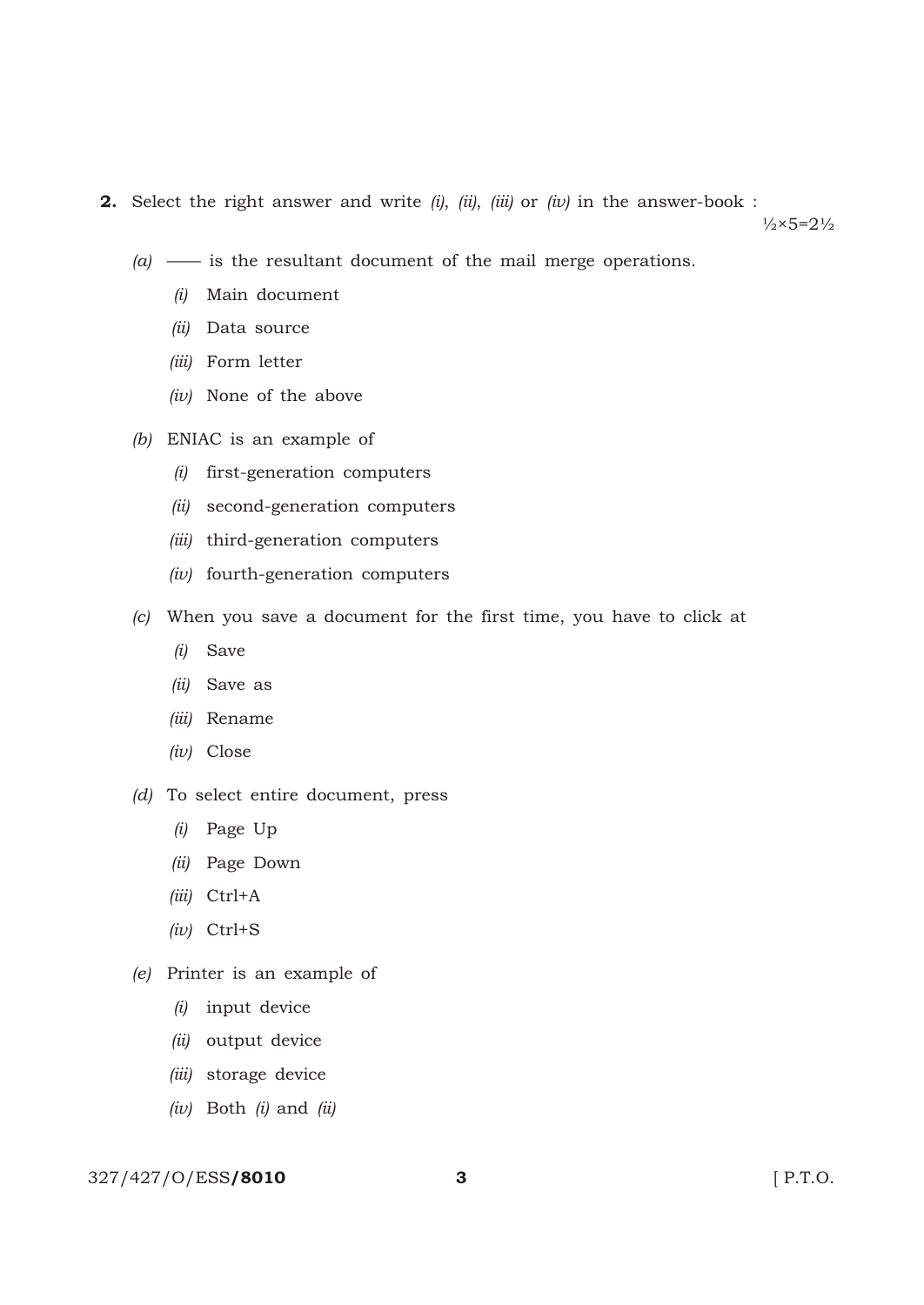2. Select the right answer and write *(i)*, *(ii)*, *(iii)* or *(iv)* in the answer-book :

 $\frac{1}{2} \times 5 = 2\frac{1}{2}$ 

- *(a)* —— is the resultant document of the mail merge operations.
	- *(i)* Main document
	- *(ii)* Data source
	- *(iii)* Form letter
	- *(iv)* None of the above
- *(b)* ENIAC is an example of
	- *(i)* first-generation computers
	- *(ii)* second-generation computers
	- *(iii)* third-generation computers
	- *(iv)* fourth-generation computers
- *(c)* When you save a document for the first time, you have to click at
	- *(i)* Save
	- *(ii)* Save as
	- *(iii)* Rename
	- *(iv)* Close
- *(d)* To select entire document, press
	- *(i)* Page Up
	- *(ii)* Page Down
	- *(iii)* Ctrl+A
	- *(iv)* Ctrl+S
- *(e)* Printer is an example of
	- *(i)* input device
	- *(ii)* output device
	- *(iii)* storage device
	- *(iv)* Both *(i)* and *(ii)*

## 327/427/O/ESS**/8010 3** [ P.T.O.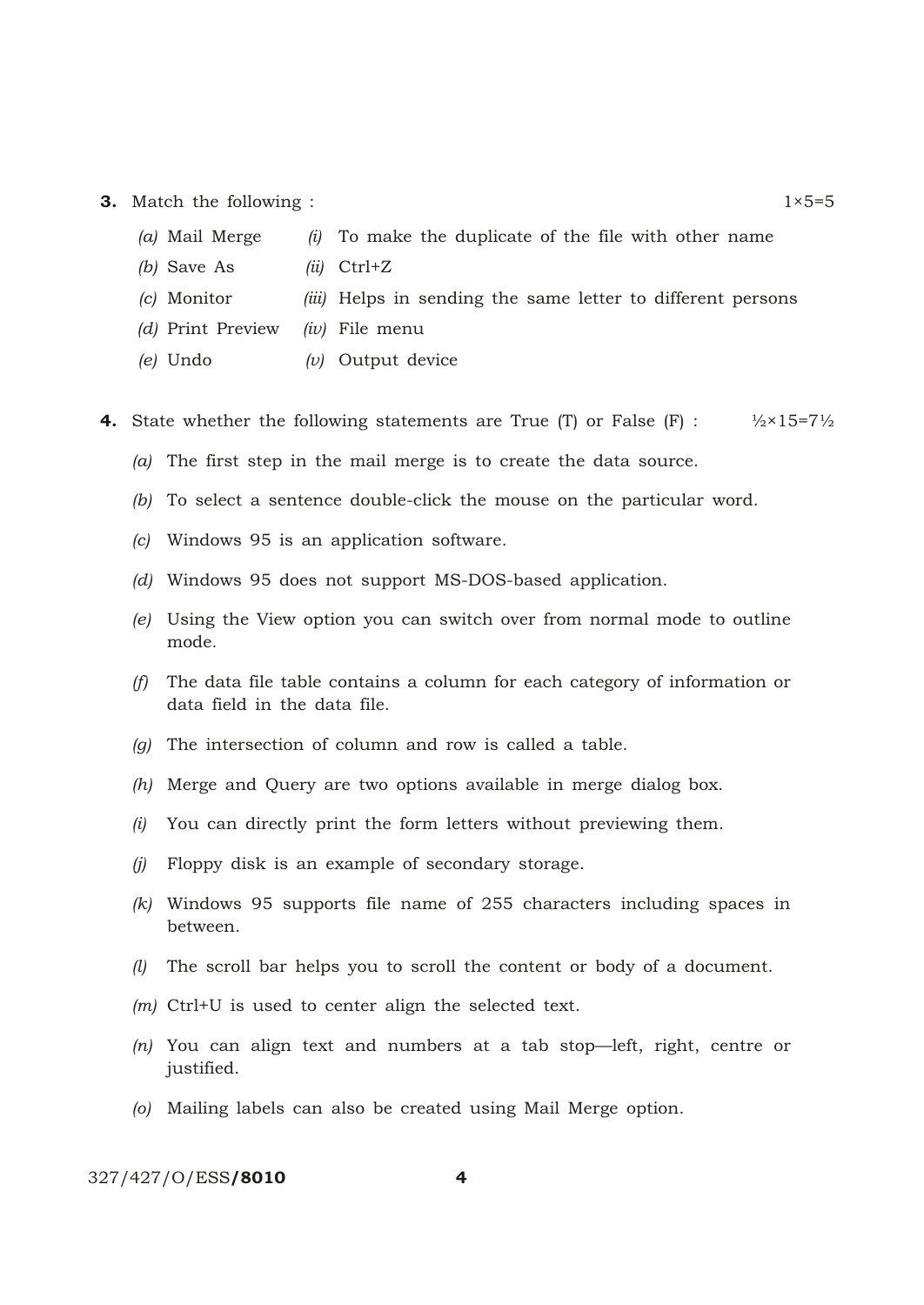- **3.** Match the following :  $1 \times 5=5$ 
	- *(a)* Mail Merge *(i)* To make the duplicate of the file with other name
	- *(b)* Save As *(ii)* Ctrl+Z
	- *(c)* Monitor *(iii)* Helps in sending the same letter to different persons
	- *(d)* Print Preview *(iv)* File menu
	- *(e)* Undo *(v)* Output device
- **4.** State whether the following statements are True (T) or False (F) :  $\frac{1}{2} \times 15 = 7\frac{1}{2}$ 
	- *(a)* The first step in the mail merge is to create the data source.
	- *(b)* To select a sentence double-click the mouse on the particular word.
	- *(c)* Windows 95 is an application software.
	- *(d)* Windows 95 does not support MS-DOS-based application.
	- *(e)* Using the View option you can switch over from normal mode to outline mode.
	- *(f)* The data file table contains a column for each category of information or data field in the data file.
	- *(g)* The intersection of column and row is called a table.
	- *(h)* Merge and Query are two options available in merge dialog box.
	- *(i)* You can directly print the form letters without previewing them.
	- *(j)* Floppy disk is an example of secondary storage.
	- *(k)* Windows 95 supports file name of 255 characters including spaces in between.
	- *(l)* The scroll bar helps you to scroll the content or body of a document.
	- *(m)* Ctrl+U is used to center align the selected text.
	- *(n)* You can align text and numbers at a tab stop—left, right, centre or justified.
	- *(o)* Mailing labels can also be created using Mail Merge option.

327/427/O/ESS/8010 4